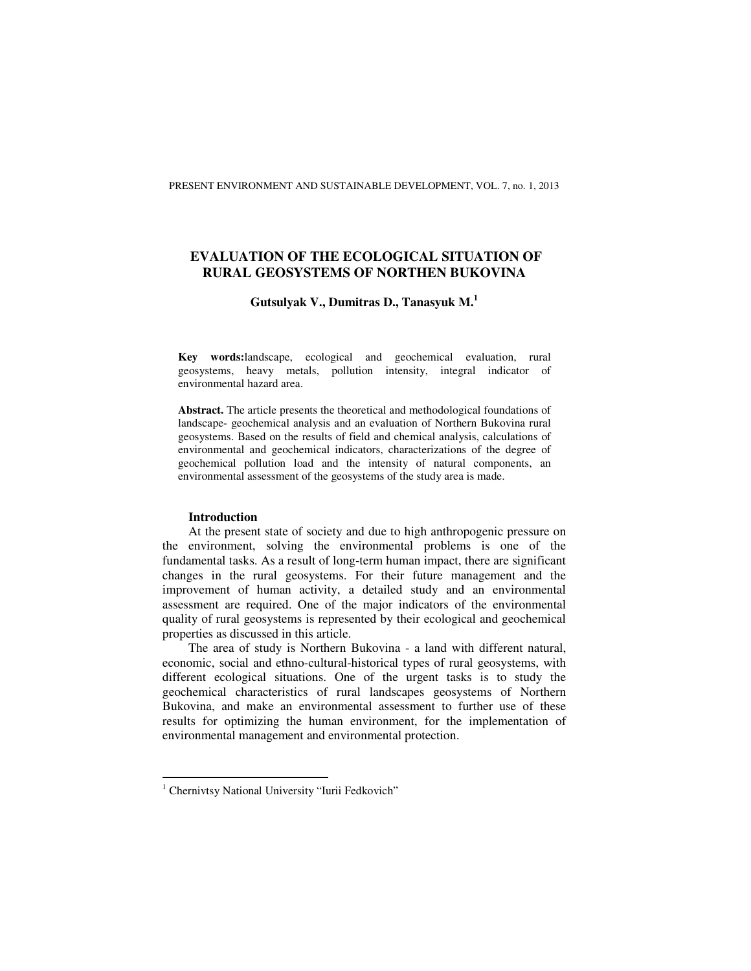# **EVALUATION OF THE ECOLOGICAL SITUATION OF RURAL GEOSYSTEMS OF NORTHEN BUKOVINA**

## **Gutsulyak V., Dumitras D., Tanasyuk M.<sup>1</sup>**

**Key words:**landscape, ecological and geochemical evaluation, rural geosystems, heavy metals, pollution intensity, integral indicator of environmental hazard area.

**Abstract.** The article presents the theoretical and methodological foundations of landscape- geochemical analysis and an evaluation of Northern Bukovina rural geosystems. Based on the results of field and chemical analysis, calculations of environmental and geochemical indicators, characterizations of the degree of geochemical pollution load and the intensity of natural components, an environmental assessment of the geosystems of the study area is made.

#### **Introduction**

At the present state of society and due to high anthropogenic pressure on the environment, solving the environmental problems is one of the fundamental tasks. As a result of long-term human impact, there are significant changes in the rural geosystems. For their future management and the improvement of human activity, a detailed study and an environmental assessment are required. One of the major indicators of the environmental quality of rural geosystems is represented by their ecological and geochemical properties as discussed in this article.

The area of study is Northern Bukovina - a land with different natural, economic, social and ethno-cultural-historical types of rural geosystems, with different ecological situations. One of the urgent tasks is to study the geochemical characteristics of rural landscapes geosystems of Northern Bukovina, and make an environmental assessment to further use of these results for optimizing the human environment, for the implementation of environmental management and environmental protection.

<sup>&</sup>lt;sup>1</sup> Chernivtsy National University "Iurii Fedkovich"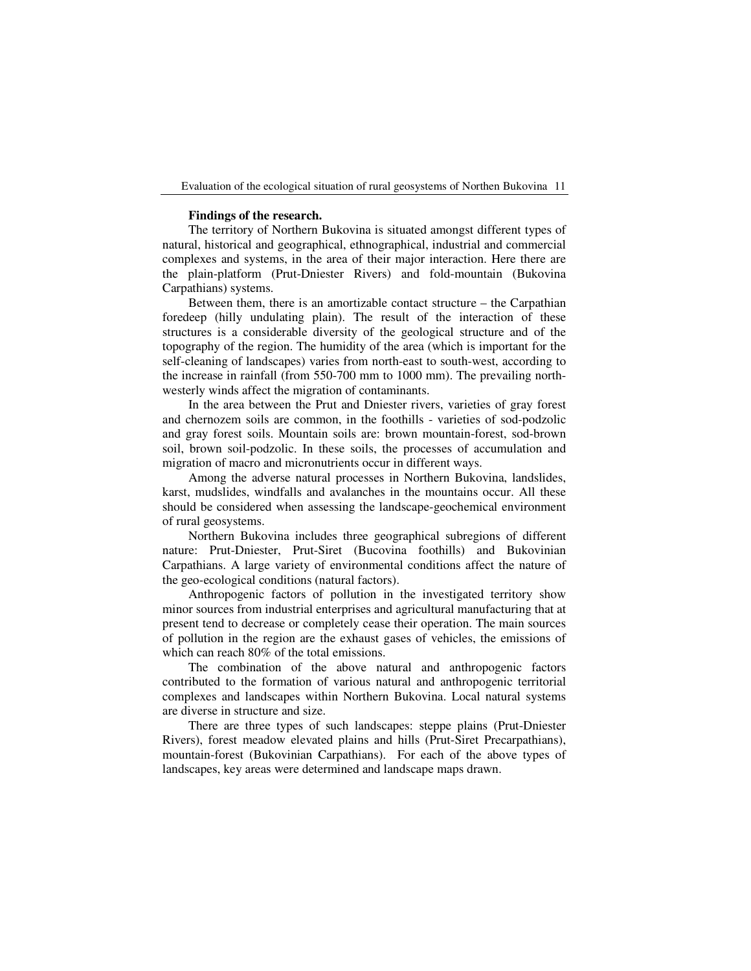### **Findings of the research.**

The territory of Northern Bukovina is situated amongst different types of natural, historical and geographical, ethnographical, industrial and commercial complexes and systems, in the area of their major interaction. Here there are the plain-platform (Prut-Dniester Rivers) and fold-mountain (Bukovina Carpathians) systems.

Between them, there is an amortizable contact structure – the Carpathian foredeep (hilly undulating plain). The result of the interaction of these structures is a considerable diversity of the geological structure and of the topography of the region. The humidity of the area (which is important for the self-cleaning of landscapes) varies from north-east to south-west, according to the increase in rainfall (from 550-700 mm to 1000 mm). The prevailing northwesterly winds affect the migration of contaminants.

In the area between the Prut and Dniester rivers, varieties of gray forest and chernozem soils are common, in the foothills - varieties of sod-podzolic and gray forest soils. Mountain soils are: brown mountain-forest, sod-brown soil, brown soil-podzolic. In these soils, the processes of accumulation and migration of macro and micronutrients occur in different ways.

Among the adverse natural processes in Northern Bukovina, landslides, karst, mudslides, windfalls and avalanches in the mountains occur. All these should be considered when assessing the landscape-geochemical environment of rural geosystems.

Northern Bukovina includes three geographical subregions of different nature: Prut-Dniester, Prut-Siret (Bucovina foothills) and Bukovinian Carpathians. A large variety of environmental conditions affect the nature of the geo-ecological conditions (natural factors).

Anthropogenic factors of pollution in the investigated territory show minor sources from industrial enterprises and agricultural manufacturing that at present tend to decrease or completely cease their operation. The main sources of pollution in the region are the exhaust gases of vehicles, the emissions of which can reach 80% of the total emissions.

The combination of the above natural and anthropogenic factors contributed to the formation of various natural and anthropogenic territorial complexes and landscapes within Northern Bukovina. Local natural systems are diverse in structure and size.

There are three types of such landscapes: steppe plains (Prut-Dniester Rivers), forest meadow elevated plains and hills (Prut-Siret Precarpathians), mountain-forest (Bukovinian Carpathians). For each of the above types of landscapes, key areas were determined and landscape maps drawn.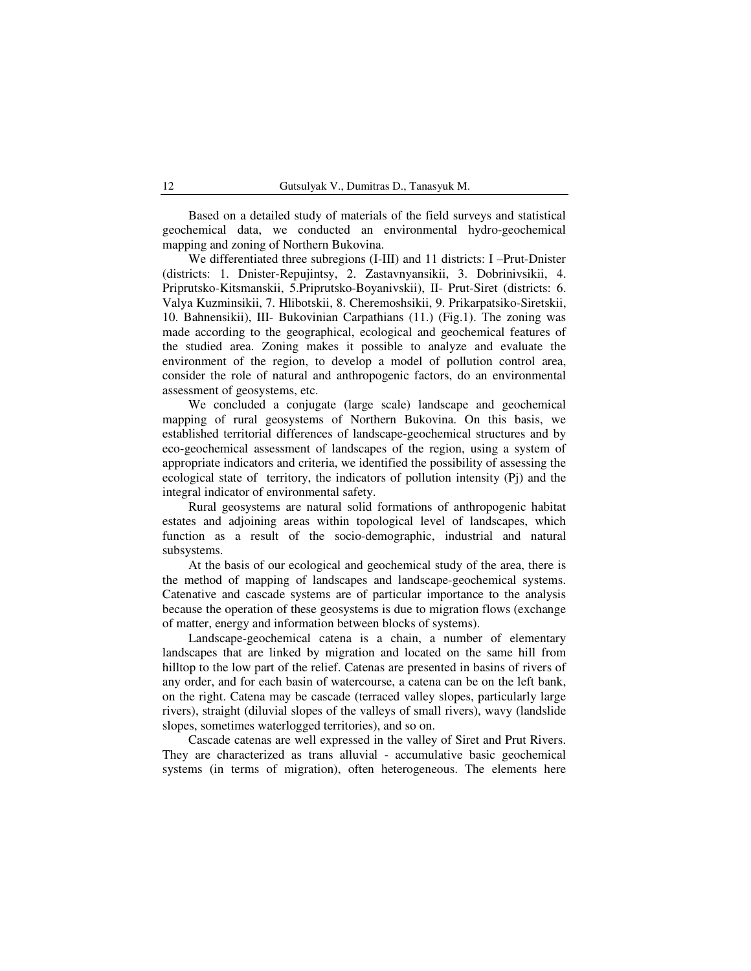Based on a detailed study of materials of the field surveys and statistical geochemical data, we conducted an environmental hydro-geochemical mapping and zoning of Northern Bukovina.

We differentiated three subregions (I-III) and 11 districts: I –Prut-Dnister (districts: 1. Dnister-Repujintsy, 2. Zastavnyansikii, 3. Dobrinivsikii, 4. Priprutsko-Kitsmanskii, 5.Priprutsko-Boyanivskii), II- Prut-Siret (districts: 6. Valya Kuzminsikii, 7. Hlibotskii, 8. Cheremoshsikii, 9. Prikarpatsiko-Siretskii, 10. Bahnensikii), III- Bukovinian Carpathians (11.) (Fig.1). The zoning was made according to the geographical, ecological and geochemical features of the studied area. Zoning makes it possible to analyze and evaluate the environment of the region, to develop a model of pollution control area, consider the role of natural and anthropogenic factors, do an environmental assessment of geosystems, etc.

We concluded a conjugate (large scale) landscape and geochemical mapping of rural geosystems of Northern Bukovina. On this basis, we established territorial differences of landscape-geochemical structures and by eco-geochemical assessment of landscapes of the region, using a system of appropriate indicators and criteria, we identified the possibility of assessing the ecological state of territory, the indicators of pollution intensity (Pj) and the integral indicator of environmental safety.

Rural geosystems are natural solid formations of anthropogenic habitat estates and adjoining areas within topological level of landscapes, which function as a result of the socio-demographic, industrial and natural subsystems.

At the basis of our ecological and geochemical study of the area, there is the method of mapping of landscapes and landscape-geochemical systems. Catenative and cascade systems are of particular importance to the analysis because the operation of these geosystems is due to migration flows (exchange of matter, energy and information between blocks of systems).

Landscape-geochemical catena is a chain, a number of elementary landscapes that are linked by migration and located on the same hill from hilltop to the low part of the relief. Catenas are presented in basins of rivers of any order, and for each basin of watercourse, a catena can be on the left bank, on the right. Catena may be cascade (terraced valley slopes, particularly large rivers), straight (diluvial slopes of the valleys of small rivers), wavy (landslide slopes, sometimes waterlogged territories), and so on.

Cascade catenas are well expressed in the valley of Siret and Prut Rivers. They are characterized as trans alluvial - accumulative basic geochemical systems (in terms of migration), often heterogeneous. The elements here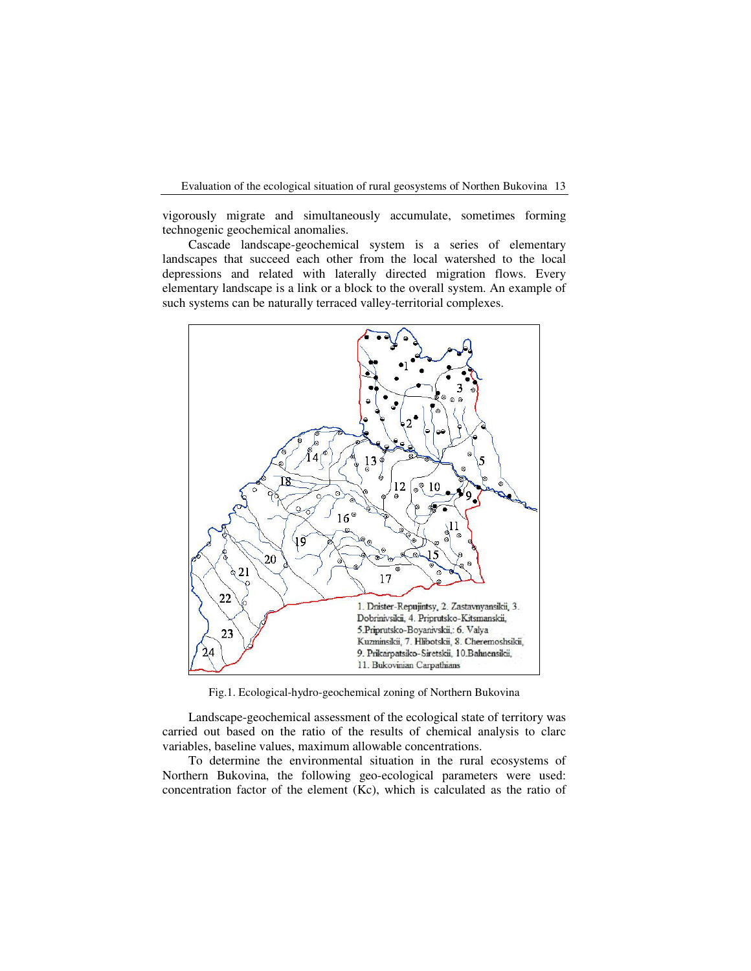vigorously migrate and simultaneously accumulate, sometimes forming technogenic geochemical anomalies.

Cascade landscape-geochemical system is a series of elementary landscapes that succeed each other from the local watershed to the local depressions and related with laterally directed migration flows. Every elementary landscape is a link or a block to the overall system. An example of such systems can be naturally terraced valley-territorial complexes.



Fig.1. Ecological-hydro-geochemical zoning of Northern Bukovina

Landscape-geochemical assessment of the ecological state of territory was carried out based on the ratio of the results of chemical analysis to clarc variables, baseline values, maximum allowable concentrations.

To determine the environmental situation in the rural ecosystems of Northern Bukovina, the following geo-ecological parameters were used: concentration factor of the element (Kc), which is calculated as the ratio of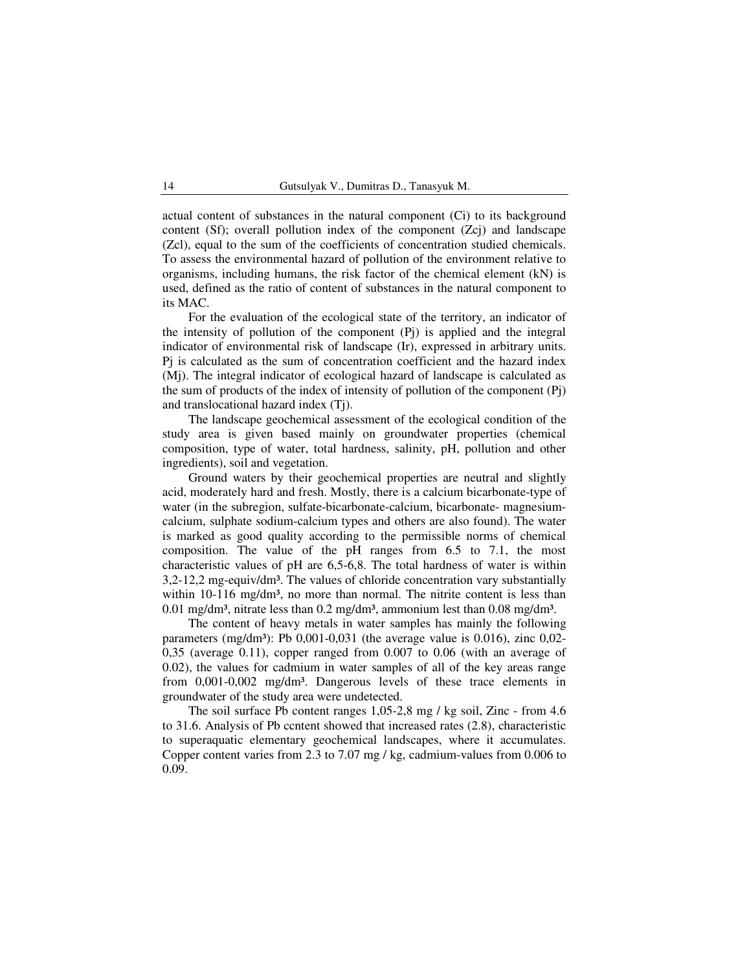actual content of substances in the natural component (Ci) to its background content (Sf); overall pollution index of the component (Zcj) and landscape (Zcl), equal to the sum of the coefficients of concentration studied chemicals. To assess the environmental hazard of pollution of the environment relative to organisms, including humans, the risk factor of the chemical element (kN) is used, defined as the ratio of content of substances in the natural component to its MAC.

For the evaluation of the ecological state of the territory, an indicator of the intensity of pollution of the component (Pj) is applied and the integral indicator of environmental risk of landscape (Ir), expressed in arbitrary units. Pj is calculated as the sum of concentration coefficient and the hazard index (Mj). The integral indicator of ecological hazard of landscape is calculated as the sum of products of the index of intensity of pollution of the component (Pj) and translocational hazard index (Tj).

The landscape geochemical assessment of the ecological condition of the study area is given based mainly on groundwater properties (chemical composition, type of water, total hardness, salinity, pH, pollution and other ingredients), soil and vegetation.

Ground waters by their geochemical properties are neutral and slightly acid, moderately hard and fresh. Mostly, there is a calcium bicarbonate-type of water (in the subregion, sulfate-bicarbonate-calcium, bicarbonate- magnesiumcalcium, sulphate sodium-calcium types and others are also found). The water is marked as good quality according to the permissible norms of chemical composition. The value of the pH ranges from 6.5 to 7.1, the most characteristic values of pH are 6,5-6,8. The total hardness of water is within  $3,2-12,2$  mg-equiv/dm<sup>3</sup>. The values of chloride concentration vary substantially within  $10-116$  mg/dm<sup>3</sup>, no more than normal. The nitrite content is less than 0.01 mg/dm<sup>3</sup>, nitrate less than 0.2 mg/dm<sup>3</sup>, ammonium lest than 0.08 mg/dm<sup>3</sup>.

The content of heavy metals in water samples has mainly the following parameters (mg/dm<sup>3</sup>): Pb  $0,001-0,031$  (the average value is  $0.016$ ), zinc  $0,02-$ 0,35 (average 0.11), copper ranged from 0.007 to 0.06 (with an average of 0.02), the values for cadmium in water samples of all of the key areas range from 0,001-0,002 mg/dm<sup>3</sup>. Dangerous levels of these trace elements in groundwater of the study area were undetected.

The soil surface Pb content ranges 1,05-2,8 mg / kg soil, Zinc - from 4.6 to 31.6. Analysis of Pb ccntent showed that increased rates (2.8), characteristic to superaquatic elementary geochemical landscapes, where it accumulates. Copper content varies from 2.3 to 7.07 mg / kg, cadmium-values from 0.006 to 0.09.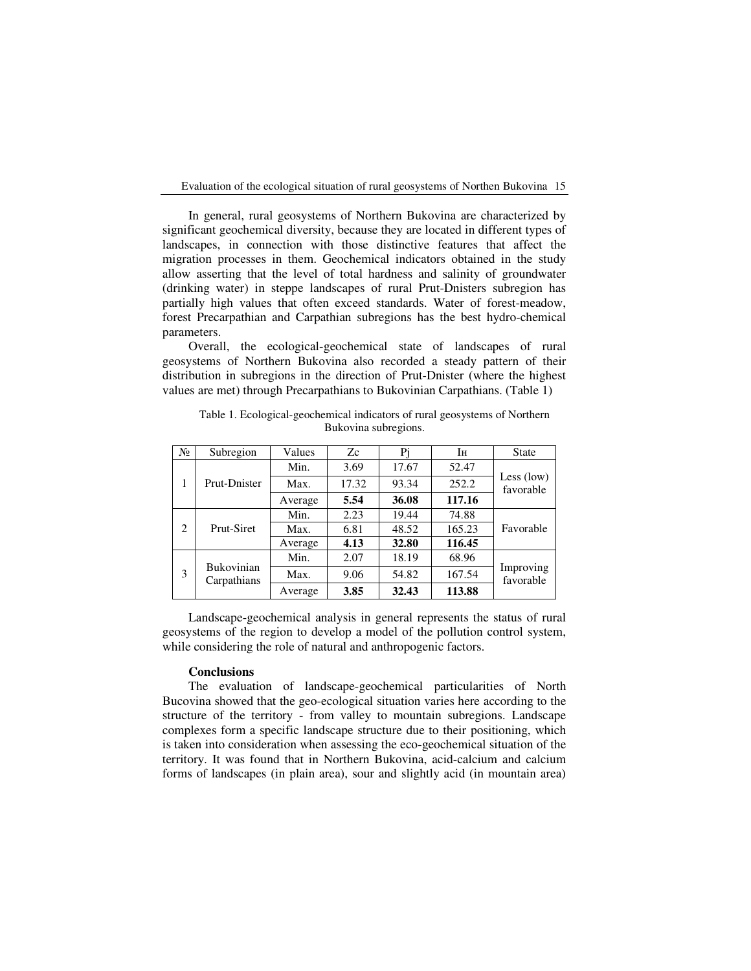In general, rural geosystems of Northern Bukovina are characterized by significant geochemical diversity, because they are located in different types of landscapes, in connection with those distinctive features that affect the migration processes in them. Geochemical indicators obtained in the study allow asserting that the level of total hardness and salinity of groundwater (drinking water) in steppe landscapes of rural Prut-Dnisters subregion has partially high values that often exceed standards. Water of forest-meadow, forest Precarpathian and Carpathian subregions has the best hydro-chemical parameters.

Overall, the ecological-geochemical state of landscapes of rural geosystems of Northern Bukovina also recorded a steady pattern of their distribution in subregions in the direction of Prut-Dnister (where the highest values are met) through Precarpathians to Bukovinian Carpathians. (Table 1)

| N <sub>2</sub> | Subregion                        | Values  | Zc    | Pi    | Īн     | <b>State</b>              |
|----------------|----------------------------------|---------|-------|-------|--------|---------------------------|
| 1              | Prut-Dnister                     | Min.    | 3.69  | 17.67 | 52.47  | Less $(low)$<br>favorable |
|                |                                  | Max.    | 17.32 | 93.34 | 252.2  |                           |
|                |                                  | Average | 5.54  | 36.08 | 117.16 |                           |
| $\overline{c}$ | Prut-Siret                       | Min.    | 2.23  | 19.44 | 74.88  | Favorable                 |
|                |                                  | Max.    | 6.81  | 48.52 | 165.23 |                           |
|                |                                  | Average | 4.13  | 32.80 | 116.45 |                           |
| 3              | <b>Bukovinian</b><br>Carpathians | Min.    | 2.07  | 18.19 | 68.96  | Improving<br>favorable    |
|                |                                  | Max.    | 9.06  | 54.82 | 167.54 |                           |
|                |                                  | Average | 3.85  | 32.43 | 113.88 |                           |

Table 1. Ecological-geochemical indicators of rural geosystems of Northern Bukovina subregions.

Landscape-geochemical analysis in general represents the status of rural geosystems of the region to develop a model of the pollution control system, while considering the role of natural and anthropogenic factors.

#### **Conclusions**

The evaluation of landscape-geochemical particularities of North Bucovina showed that the geo-ecological situation varies here according to the structure of the territory - from valley to mountain subregions. Landscape complexes form a specific landscape structure due to their positioning, which is taken into consideration when assessing the eco-geochemical situation of the territory. It was found that in Northern Bukovina, acid-calcium and calcium forms of landscapes (in plain area), sour and slightly acid (in mountain area)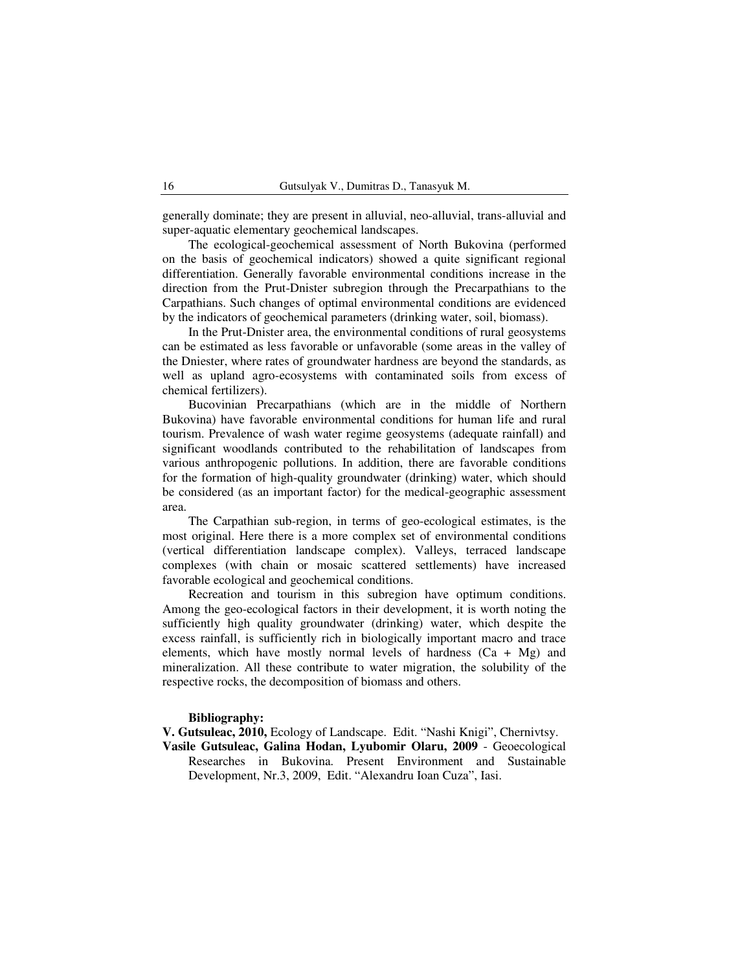generally dominate; they are present in alluvial, neo-alluvial, trans-alluvial and super-aquatic elementary geochemical landscapes.

The ecological-geochemical assessment of North Bukovina (performed on the basis of geochemical indicators) showed a quite significant regional differentiation. Generally favorable environmental conditions increase in the direction from the Prut-Dnister subregion through the Precarpathians to the Carpathians. Such changes of optimal environmental conditions are evidenced by the indicators of geochemical parameters (drinking water, soil, biomass).

In the Prut-Dnister area, the environmental conditions of rural geosystems can be estimated as less favorable or unfavorable (some areas in the valley of the Dniester, where rates of groundwater hardness are beyond the standards, as well as upland agro-ecosystems with contaminated soils from excess of chemical fertilizers).

Bucovinian Precarpathians (which are in the middle of Northern Bukovina) have favorable environmental conditions for human life and rural tourism. Prevalence of wash water regime geosystems (adequate rainfall) and significant woodlands contributed to the rehabilitation of landscapes from various anthropogenic pollutions. In addition, there are favorable conditions for the formation of high-quality groundwater (drinking) water, which should be considered (as an important factor) for the medical-geographic assessment area.

The Carpathian sub-region, in terms of geo-ecological estimates, is the most original. Here there is a more complex set of environmental conditions (vertical differentiation landscape complex). Valleys, terraced landscape complexes (with chain or mosaic scattered settlements) have increased favorable ecological and geochemical conditions.

Recreation and tourism in this subregion have optimum conditions. Among the geo-ecological factors in their development, it is worth noting the sufficiently high quality groundwater (drinking) water, which despite the excess rainfall, is sufficiently rich in biologically important macro and trace elements, which have mostly normal levels of hardness  $(Ca + Mg)$  and mineralization. All these contribute to water migration, the solubility of the respective rocks, the decomposition of biomass and others.

### **Bibliography:**

**V. Gutsuleac, 2010,** Ecology of Landscape. Edit. "Nashi Knigi", Chernivtsy.

**Vasile Gutsuleac, Galina Hodan, Lyubomir Olaru, 2009** - Geoecological Researches in Bukovina. Present Environment and Sustainable Development, Nr.3, 2009, Edit. "Alexandru Ioan Cuza", Iasi.